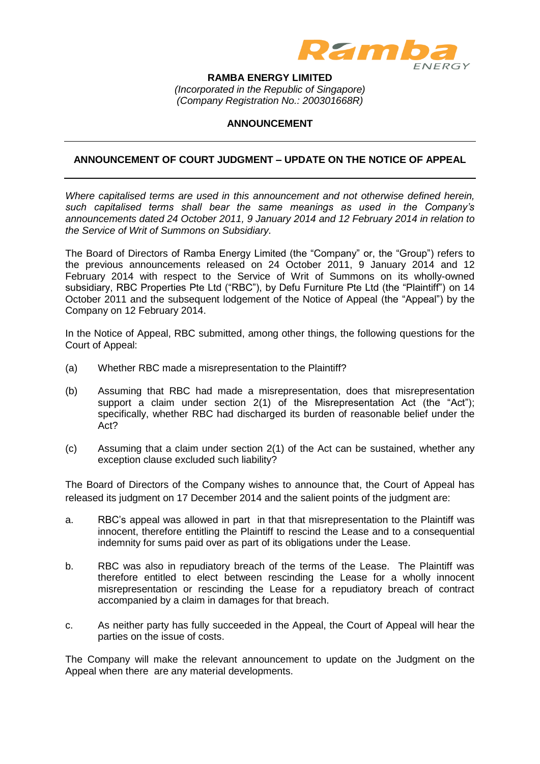

**RAMBA ENERGY LIMITED** *(Incorporated in the Republic of Singapore) (Company Registration No.: 200301668R)*

## **ANNOUNCEMENT**

## **ANNOUNCEMENT OF COURT JUDGMENT – UPDATE ON THE NOTICE OF APPEAL**

*Where capitalised terms are used in this announcement and not otherwise defined herein, such capitalised terms shall bear the same meanings as used in the Company's announcements dated 24 October 2011, 9 January 2014 and 12 February 2014 in relation to the Service of Writ of Summons on Subsidiary.*

The Board of Directors of Ramba Energy Limited (the "Company" or, the "Group") refers to the previous announcements released on 24 October 2011, 9 January 2014 and 12 February 2014 with respect to the Service of Writ of Summons on its wholly-owned subsidiary, RBC Properties Pte Ltd ("RBC"), by Defu Furniture Pte Ltd (the "Plaintiff") on 14 October 2011 and the subsequent lodgement of the Notice of Appeal (the "Appeal") by the Company on 12 February 2014.

In the Notice of Appeal, RBC submitted, among other things, the following questions for the Court of Appeal:

- (a) Whether RBC made a misrepresentation to the Plaintiff?
- (b) Assuming that RBC had made a misrepresentation, does that misrepresentation support a claim under section 2(1) of the Misrepresentation Act (the "Act"); specifically, whether RBC had discharged its burden of reasonable belief under the Act?
- (c) Assuming that a claim under section 2(1) of the Act can be sustained, whether any exception clause excluded such liability?

The Board of Directors of the Company wishes to announce that, the Court of Appeal has released its judgment on 17 December 2014 and the salient points of the judgment are:

- a. RBC's appeal was allowed in part in that that misrepresentation to the Plaintiff was innocent, therefore entitling the Plaintiff to rescind the Lease and to a consequential indemnity for sums paid over as part of its obligations under the Lease.
- b. RBC was also in repudiatory breach of the terms of the Lease. The Plaintiff was therefore entitled to elect between rescinding the Lease for a wholly innocent misrepresentation or rescinding the Lease for a repudiatory breach of contract accompanied by a claim in damages for that breach.
- c. As neither party has fully succeeded in the Appeal, the Court of Appeal will hear the parties on the issue of costs.

The Company will make the relevant announcement to update on the Judgment on the Appeal when there are any material developments.